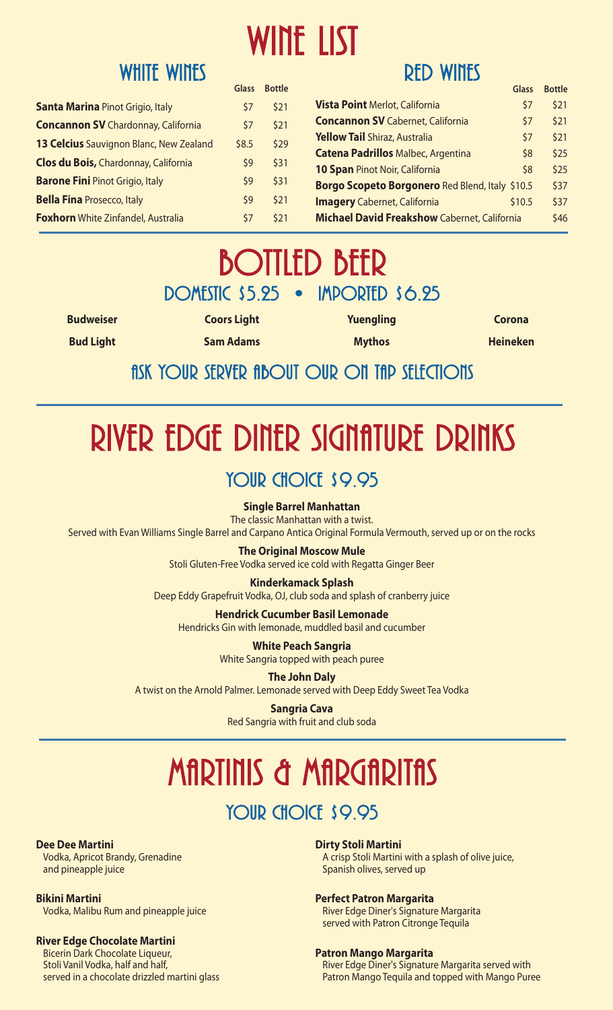# WINE LIST

|                                                | Glass | <b>Bottle</b> |
|------------------------------------------------|-------|---------------|
| <b>Santa Marina Pinot Grigio, Italy</b>        | \$7   | \$21          |
| <b>Concannon SV</b> Chardonnay, California     | \$7   | \$21          |
| <b>13 Celcius</b> Sauvignon Blanc, New Zealand | \$8.5 | \$29          |
| Clos du Bois, Chardonnay, California           | \$9   | \$31          |
| <b>Barone Fini Pinot Grigio, Italy</b>         | \$9   | \$31          |
| <b>Bella Fina Prosecco, Italy</b>              | \$9   | \$21          |
| <b>Foxhorn</b> White Zinfandel, Australia      | \$7   | \$21          |

## Red Wines

|                                                     | Glass  | <b>Bottle</b> |
|-----------------------------------------------------|--------|---------------|
| <b>Vista Point Merlot, California</b>               | \$7    | \$21          |
| <b>Concannon SV</b> Cabernet, California            | \$7    | \$21          |
| <b>Yellow Tail Shiraz, Australia</b>                | \$7    | \$21          |
| <b>Catena Padrillos Malbec, Argentina</b>           | \$8    | \$25          |
| 10 Span Pinot Noir, California                      | \$8    | \$25          |
| Borgo Scopeto Borgonero Red Blend, Italy \$10.5     |        | \$37          |
| <b>Imagery</b> Cabernet, California                 | \$10.5 | \$37          |
| <b>Michael David Freakshow Cabernet, California</b> |        | \$46          |

# **BOTTLED BEER**<br>DOMESTIC \$5.25 • IMPORTED \$6.25

**Budweiser Bud Light**

**Sam Adams**

**Coors Light**

**Yuengling Mythos**

**Corona Heineken**

### fisk Your Server fibout Our On The Selections

# RIVER EDGE DINER SIGNATURE DRINKS

#### **Single Barrel Manhattan**

The classic Manhattan with a twist.

Served with Evan Williams Single Barrel and Carpano Antica Original Formula Vermouth, served up or on the rocks

**The Original Moscow Mule**

Stoli Gluten-Free Vodka served ice cold with Regatta Ginger Beer

**Kinderkamack Splash** Deep Eddy Grapefruit Vodka, OJ, club soda and splash of cranberry juice

**Hendrick Cucumber Basil Lemonade**

Hendricks Gin with lemonade, muddled basil and cucumber

**White Peach Sangria** White Sangria topped with peach puree

**The John Daly** A twist on the Arnold Palmer. Lemonade served with Deep Eddy Sweet Tea Vodka

> **Sangria Cava** Red Sangria with fruit and club soda

# MARTINIS & MARGARITAS

## YOUR CHOICE \$9.95

#### **Dee Dee Martini**

Vodka, Apricot Brandy, Grenadine and pineapple juice

#### **Bikini Martini**

Vodka, Malibu Rum and pineapple juice

#### **River Edge Chocolate Martini**

Bicerin Dark Chocolate Liqueur, Stoli Vanil Vodka, half and half, served in a chocolate drizzled martini glass

#### **Dirty Stoli Martini**

A crisp Stoli Martini with a splash of olive juice, Spanish olives, served up

#### **Perfect Patron Margarita**

River Edge Diner's Signature Margarita served with Patron Citronge Tequila

#### **Patron Mango Margarita**

River Edge Diner's Signature Margarita served with Patron Mango Tequila and topped with Mango Puree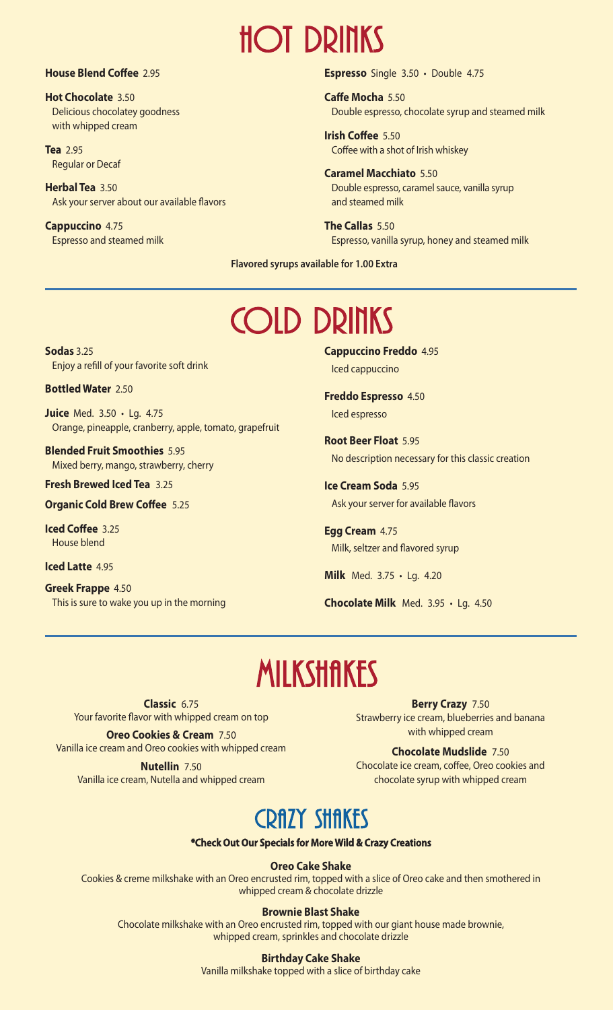# Hot Drinks

#### **House Blend Coffee** 2.95

**Hot Chocolate** 3.50 Delicious chocolatey goodness with whipped cream

**Tea** 2.95 Regular or Decaf

**Herbal Tea** 3.50 Ask your server about our available flavors

**Cappuccino** 4.75 Espresso and steamed milk **Espresso** Single 3.50 • Double 4.75

**Caffe Mocha** 5.50 Double espresso, chocolate syrup and steamed milk

**Irish Coffee** 5.50 Coffee with a shot of Irish whiskey

**Caramel Macchiato** 5.50 Double espresso, caramel sauce, vanilla syrup and steamed milk

**The Callas** 5.50 Espresso, vanilla syrup, honey and steamed milk

**Flavored syrups available for 1.00 Extra**

# Cold Drinks

**Sodas** 3.25 Enjoy a refill of your favorite soft drink

**Bottled Water** 2.50

**Juice** Med. 3.50 • Lg. 4.75 Orange, pineapple, cranberry, apple, tomato, grapefruit

**Blended Fruit Smoothies** 5.95 Mixed berry, mango, strawberry, cherry

**Fresh Brewed Iced Tea** 3.25

**Organic Cold Brew Coffee** 5.25

**Iced Coffee** 3.25 House blend

**Iced Latte** 4.95

**Greek Frappe** 4.50 This is sure to wake you up in the morning **Cappuccino Freddo** 4.95 Iced cappuccino

**Freddo Espresso** 4.50 Iced espresso

**Root Beer Float** 5.95 No description necessary for this classic creation

**Ice Cream Soda** 5.95 Ask your server for available flavors

**Egg Cream** 4.75 Milk, seltzer and flavored syrup

**Milk** Med. 3.75 • Lg. 4.20

**Chocolate Milk** Med. 3.95 • Lg. 4.50

# **MILKSHAKES**

**Classic** 6.75 Your favorite flavor with whipped cream on top

**Oreo Cookies & Cream** 7.50 Vanilla ice cream and Oreo cookies with whipped cream

**Nutellin** 7.50 Vanilla ice cream, Nutella and whipped cream

**Berry Crazy** 7.50 Strawberry ice cream, blueberries and banana with whipped cream

**Chocolate Mudslide** 7.50 Chocolate ice cream, coffee, Oreo cookies and chocolate syrup with whipped cream

## CRAZY SHAKES

**\*Check Out Our Specials for More Wild & Crazy Creations**

**Oreo Cake Shake**

Cookies & creme milkshake with an Oreo encrusted rim, topped with a slice of Oreo cake and then smothered in whipped cream & chocolate drizzle

#### **Brownie Blast Shake**

Chocolate milkshake with an Oreo encrusted rim, topped with our giant house made brownie, whipped cream, sprinkles and chocolate drizzle

#### **Birthday Cake Shake**

Vanilla milkshake topped with a slice of birthday cake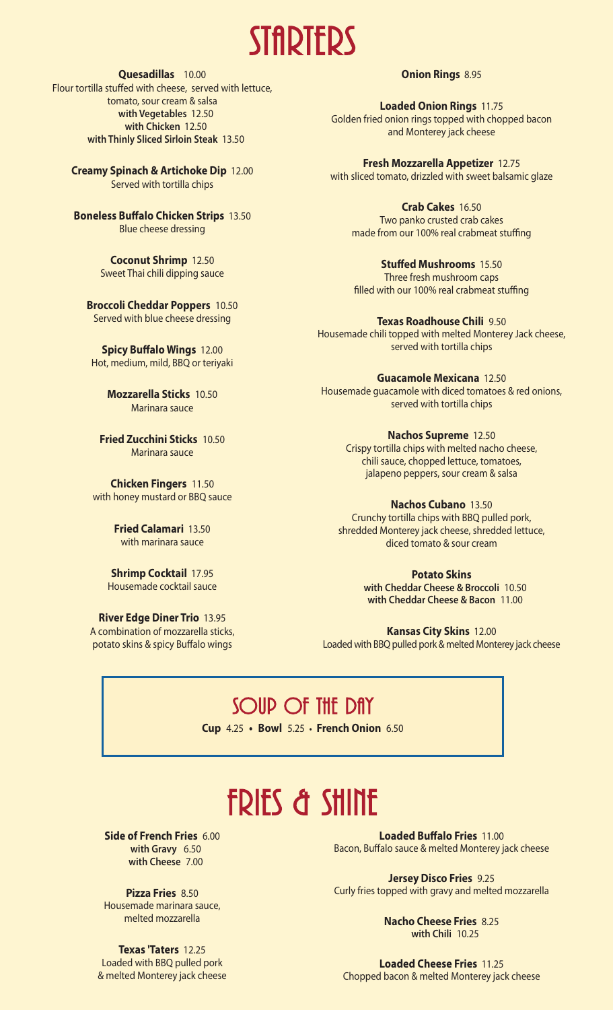

#### **Quesadillas** 10.00

Flour tortilla stuffed with cheese, served with lettuce, tomato, sour cream & salsa **with Vegetables** 12.50 **with Chicken** 12.50 **with Thinly Sliced Sirloin Steak** 13.50

**Creamy Spinach & Artichoke Dip** 12.00 Served with tortilla chips

**Boneless Buffalo Chicken Strips** 13.50 Blue cheese dressing

> **Coconut Shrimp** 12.50 Sweet Thai chili dipping sauce

**Broccoli Cheddar Poppers** 10.50 Served with blue cheese dressing

**Spicy Buffalo Wings** 12.00 Hot, medium, mild, BBQ or teriyaki

> **Mozzarella Sticks** 10.50 Marinara sauce

**Fried Zucchini Sticks** 10.50 Marinara sauce

**Chicken Fingers** 11.50 with honey mustard or BBQ sauce

> **Fried Calamari** 13.50 with marinara sauce

**Shrimp Cocktail** 17.95 Housemade cocktail sauce

**River Edge Diner Trio** 13.95 A combination of mozzarella sticks, potato skins & spicy Buffalo wings

**Onion Rings** 8.95

**Loaded Onion Rings** 11.75 Golden fried onion rings topped with chopped bacon and Monterey jack cheese

**Fresh Mozzarella Appetizer** 12.75 with sliced tomato, drizzled with sweet balsamic glaze

**Crab Cakes** 16.50 Two panko crusted crab cakes made from our 100% real crabmeat stuffing

**Stuffed Mushrooms** 15.50 Three fresh mushroom caps filled with our 100% real crabmeat stuffing

**Texas Roadhouse Chili** 9.50 Housemade chili topped with melted Monterey Jack cheese, served with tortilla chips

**Guacamole Mexicana** 12.50 Housemade guacamole with diced tomatoes & red onions, served with tortilla chips

> **Nachos Supreme** 12.50 Crispy tortilla chips with melted nacho cheese, chili sauce, chopped lettuce, tomatoes, jalapeno peppers, sour cream & salsa

**Nachos Cubano** 13.50 Crunchy tortilla chips with BBQ pulled pork, shredded Monterey jack cheese, shredded lettuce, diced tomato & sour cream

> **Potato Skins with Cheddar Cheese & Broccoli** 10.50 **with Cheddar Cheese & Bacon** 11.00

**Kansas City Skins** 12.00 Loaded with BBQ pulled pork & melted Monterey jack cheese

SOUP OF THE DAY

**Cup** 4.25 **• Bowl** 5.25 **• French Onion** 6.50

# **FRIES & SHINE**

**Side of French Fries** 6.00 **with Gravy** 6.50 **with Cheese** 7.00

**Pizza Fries** 8.50 Housemade marinara sauce, melted mozzarella

**Texas 'Taters** 12.25 Loaded with BBQ pulled pork & melted Monterey jack cheese

**Loaded Buffalo Fries** 11.00 Bacon, Buffalo sauce & melted Monterey jack cheese

**Jersey Disco Fries** 9.25 Curly fries topped with gravy and melted mozzarella

> **Nacho Cheese Fries** 8.25 **with Chili** 10.25

**Loaded Cheese Fries** 11.25 Chopped bacon & melted Monterey jack cheese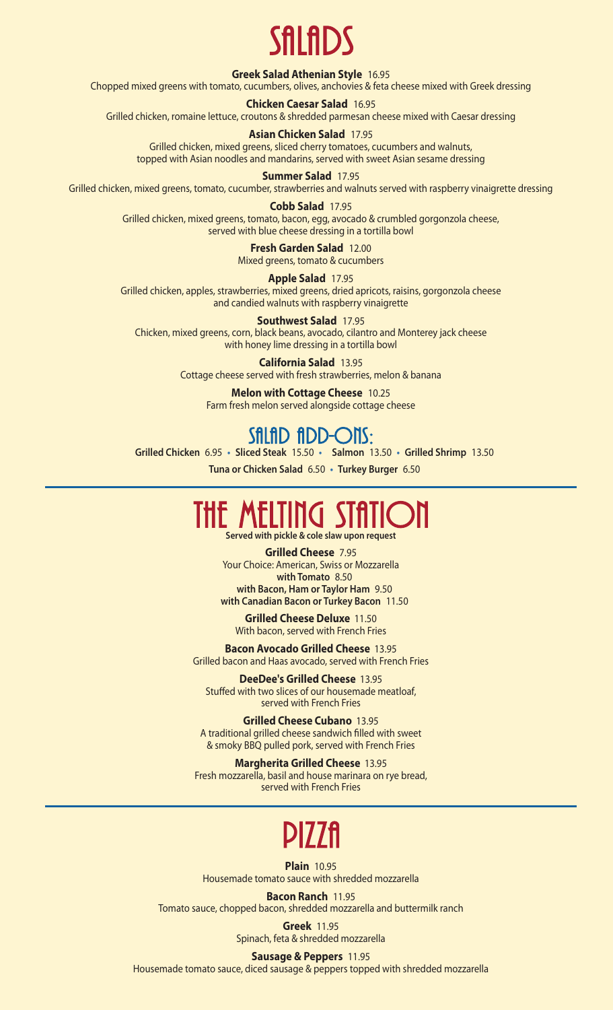# Sfilmds

#### **Greek Salad Athenian Style** 16.95

Chopped mixed greens with tomato, cucumbers, olives, anchovies & feta cheese mixed with Greek dressing

#### **Chicken Caesar Salad** 16.95

Grilled chicken, romaine lettuce, croutons & shredded parmesan cheese mixed with Caesar dressing

#### **Asian Chicken Salad** 17.95

Grilled chicken, mixed greens, sliced cherry tomatoes, cucumbers and walnuts, topped with Asian noodles and mandarins, served with sweet Asian sesame dressing

#### **Summer Salad** 17.95

Grilled chicken, mixed greens, tomato, cucumber, strawberries and walnuts served with raspberry vinaigrette dressing

#### **Cobb Salad** 17.95 Grilled chicken, mixed greens, tomato, bacon, egg, avocado & crumbled gorgonzola cheese, served with blue cheese dressing in a tortilla bowl

**Fresh Garden Salad** 12.00 Mixed greens, tomato & cucumbers

**Apple Salad** 17.95

Grilled chicken, apples, strawberries, mixed greens, dried apricots, raisins, gorgonzola cheese and candied walnuts with raspberry vinaigrette

**Southwest Salad** 17.95 Chicken, mixed greens, corn, black beans, avocado, cilantro and Monterey jack cheese with honey lime dressing in a tortilla bowl

> **California Salad** 13.95 Cottage cheese served with fresh strawberries, melon & banana

**Melon with Cottage Cheese** 10.25 Farm fresh melon served alongside cottage cheese

### Sfiltid fidd-Ons:

**Grilled Chicken** 6.95 **• Sliced Steak** 15.50 **• Salmon** 13.50 **• Grilled Shrimp** 13.50

**Tuna or Chicken Salad** 6.50 **• Turkey Burger** 6.50

# THE MELTING STATION

**Served with pickle & cole slaw upon request**

**Grilled Cheese** 7.95 Your Choice: American, Swiss or Mozzarella **with Tomato** 8.50 **with Bacon, Ham or Taylor Ham** 9.50 **with Canadian Bacon or Turkey Bacon** 11.50

**Grilled Cheese Deluxe** 11.50 With bacon, served with French Fries

**Bacon Avocado Grilled Cheese** 13.95 Grilled bacon and Haas avocado, served with French Fries

**DeeDee's Grilled Cheese** 13.95 Stuffed with two slices of our housemade meatloaf, served with French Fries

**Grilled Cheese Cubano** 13.95 A traditional grilled cheese sandwich filled with sweet & smoky BBQ pulled pork, served with French Fries

**Margherita Grilled Cheese** 13.95 Fresh mozzarella, basil and house marinara on rye bread, served with French Fries

# **PIZZA**

**Plain** 10.95 Housemade tomato sauce with shredded mozzarella

**Bacon Ranch** 11.95 Tomato sauce, chopped bacon, shredded mozzarella and buttermilk ranch

> **Greek** 11.95 Spinach, feta & shredded mozzarella

**Sausage & Peppers** 11.95 Housemade tomato sauce, diced sausage & peppers topped with shredded mozzarella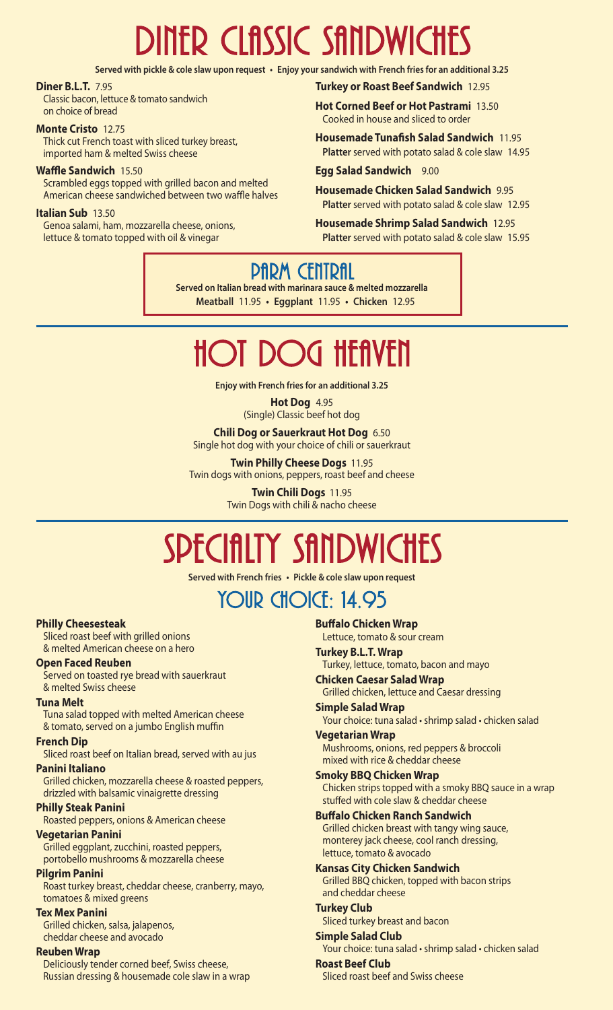# DINER CLASSIC SANDWICHES

Served with pickle & cole slaw upon request • Enjoy your sandwich with French fries for an additional 3.25

#### **Diner B.L.T.** 7.95

Classic bacon, lettuce & tomato sandwich on choice of bread

#### **Monte Cristo** 12.75

Thick cut French toast with sliced turkey breast, imported ham & melted Swiss cheese

#### **Waffle Sandwich** 15.50

Scrambled eggs topped with grilled bacon and melted American cheese sandwiched between two waffle halves

#### **Italian Sub** 13.50

Genoa salami, ham, mozzarella cheese, onions, lettuce & tomato topped with oil & vinegar

**Turkey or Roast Beef Sandwich** 12.95

**Hot Corned Beef or Hot Pastrami** 13.50 Cooked in house and sliced to order

**Housemade Tunafish Salad Sandwich** 11.95 **Platter** served with potato salad & cole slaw 14.95

**Egg Salad Sandwich** 9.00

**Housemade Chicken Salad Sandwich** 9.95 **Platter** served with potato salad & cole slaw 12.95

**Housemade Shrimp Salad Sandwich** 12.95 **Platter** served with potato salad & cole slaw 15.95

## **PARM CENTRAL**

**Served on Italian bread with marinara sauce & melted mozzarella Meatball** 11.95 **• Eggplant** 11.95 **• Chicken** 12.95

# $H$ ot Dog Hfflyfil

**Enjoy with French fries for an additional 3.25**

#### **Hot Dog** 4.95 (Single) Classic beef hot dog

**Chili Dog or Sauerkraut Hot Dog** 6.50 Single hot dog with your choice of chili or sauerkraut

**Twin Philly Cheese Dogs** 11.95 Twin dogs with onions, peppers, roast beef and cheese

> **Twin Chili Dogs** 11.95 Twin Dogs with chili & nacho cheese

# SPECIALIY SANDWICHES

**Served with French fries • Pickle & cole slaw upon request**

## YOUR CHOICE: 14.95

#### **Philly Cheesesteak**

Sliced roast beef with grilled onions & melted American cheese on a hero

#### **Open Faced Reuben**

Served on toasted rye bread with sauerkraut & melted Swiss cheese

#### **Tuna Melt**

Tuna salad topped with melted American cheese & tomato, served on a jumbo English muffin

#### **French Dip**

Sliced roast beef on Italian bread, served with au jus

#### **Panini Italiano**

Grilled chicken, mozzarella cheese & roasted peppers, drizzled with balsamic vinaigrette dressing

#### **Philly Steak Panini**

Roasted peppers, onions & American cheese

#### **Vegetarian Panini**

Grilled eggplant, zucchini, roasted peppers, portobello mushrooms & mozzarella cheese

#### **Pilgrim Panini**

Roast turkey breast, cheddar cheese, cranberry, mayo, tomatoes & mixed greens

#### **Tex Mex Panini**

Grilled chicken, salsa, jalapenos, cheddar cheese and avocado

#### **Reuben Wrap**

Deliciously tender corned beef, Swiss cheese, Russian dressing & housemade cole slaw in a wrap **Buffalo Chicken Wrap**

Lettuce, tomato & sour cream **Turkey B.L.T. Wrap**

#### Turkey, lettuce, tomato, bacon and mayo

**Chicken Caesar Salad Wrap**

Grilled chicken, lettuce and Caesar dressing **Simple Salad Wrap**

Your choice: tuna salad • shrimp salad • chicken salad

#### **Vegetarian Wrap**

Mushrooms, onions, red peppers & broccoli mixed with rice & cheddar cheese

#### **Smoky BBQ Chicken Wrap** Chicken strips topped with a smoky BBQ sauce in a wrap

stuffed with cole slaw & cheddar cheese

#### **Buffalo Chicken Ranch Sandwich**

Grilled chicken breast with tangy wing sauce, monterey jack cheese, cool ranch dressing, lettuce, tomato & avocado

#### **Kansas City Chicken Sandwich** Grilled BBQ chicken, topped with bacon strips and cheddar cheese

**Turkey Club** Sliced turkey breast and bacon

#### **Simple Salad Club** Your choice: tuna salad • shrimp salad • chicken salad

**Roast Beef Club** Sliced roast beef and Swiss cheese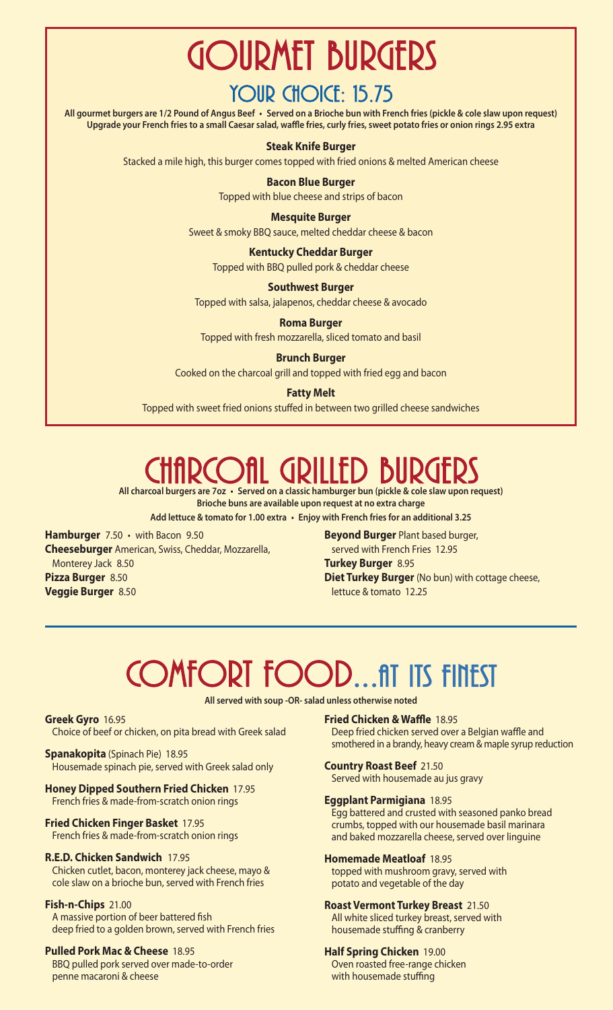# Gourmet Burgers

## YOUR CHOICE: 15.75

All gourmet burgers are 1/2 Pound of Angus Beef · Served on a Brioche bun with French fries (pickle & cole slaw upon request) Upgrade your French fries to a small Caesar salad, waffle fries, curly fries, sweet potato fries or onion rings 2.95 extra

#### **Steak Knife Burger**

Stacked a mile high, this burger comes topped with fried onions & melted American cheese

#### **Bacon Blue Burger**

Topped with blue cheese and strips of bacon

#### **Mesquite Burger**

Sweet & smoky BBQ sauce, melted cheddar cheese & bacon

#### **Kentucky Cheddar Burger**

Topped with BBQ pulled pork & cheddar cheese

#### **Southwest Burger**

Topped with salsa, jalapenos, cheddar cheese & avocado

**Roma Burger**

Topped with fresh mozzarella, sliced tomato and basil

#### **Brunch Burger**

Cooked on the charcoal grill and topped with fried egg and bacon

#### **Fatty Melt**

Topped with sweet fried onions stuffed in between two grilled cheese sandwiches

# RCOfil GRILLED BURGE

**All charcoal burgers are 7oz • Served on a classic hamburger bun (pickle & cole slaw upon request) Brioche buns are available upon request at no extra charge**

**Add lettuce & tomato for 1.00 extra • Enjoy with French fries for an additional 3.25**

**Hamburger** 7.50 • with Bacon 9.50 **Cheeseburger** American, Swiss, Cheddar, Mozzarella, Monterey Jack 8.50 **Pizza Burger** 8.50 **Veggie Burger** 8.50

**Beyond Burger** Plant based burger, served with French Fries 12.95 **Turkey Burger** 8.95 **Diet Turkey Burger** (No bun) with cottage cheese, lettuce & tomato 12.25

# COMFORT FOOD...fit ITS FINEST

**All served with soup -OR- salad unless otherwise noted**

**Greek Gyro** 16.95 Choice of beef or chicken, on pita bread with Greek salad

**Spanakopita** (Spinach Pie) 18.95 Housemade spinach pie, served with Greek salad only

**Honey Dipped Southern Fried Chicken** 17.95 French fries & made-from-scratch onion rings

**Fried Chicken Finger Basket** 17.95 French fries & made-from-scratch onion rings

#### **R.E.D. Chicken Sandwich** 17.95

Chicken cutlet, bacon, monterey jack cheese, mayo & cole slaw on a brioche bun, served with French fries

#### **Fish-n-Chips** 21.00

A massive portion of beer battered fish deep fried to a golden brown, served with French fries

#### **Pulled Pork Mac & Cheese** 18.95

BBQ pulled pork served over made-to-order penne macaroni & cheese

**Fried Chicken & Waffle** 18.95 Deep fried chicken served over a Belgian waffle and smothered in a brandy, heavy cream & maple syrup reduction

#### **Country Roast Beef** 21.50

Served with housemade au jus gravy

#### **Eggplant Parmigiana** 18.95

Egg battered and crusted with seasoned panko bread crumbs, topped with our housemade basil marinara and baked mozzarella cheese, served over linguine

#### **Homemade Meatloaf** 18.95

topped with mushroom gravy, served with potato and vegetable of the day

#### **Roast Vermont Turkey Breast** 21.50

All white sliced turkey breast, served with housemade stuffing & cranberry

#### **Half Spring Chicken** 19.00

Oven roasted free-range chicken with housemade stuffing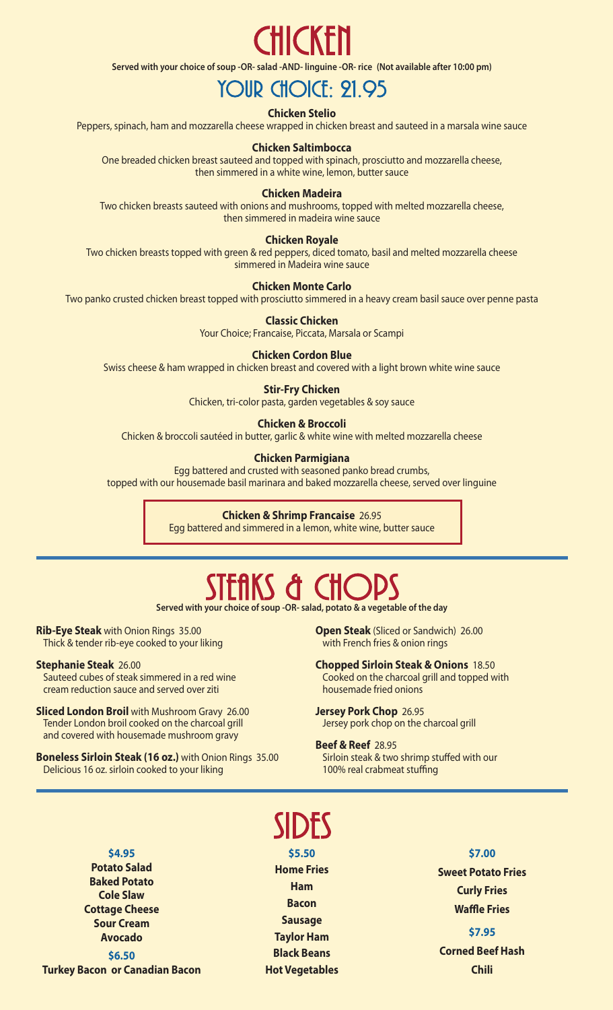# **CHICKEN**

**Served with your choice of soup -OR- salad -AND- linguine -OR- rice (Not available after 10:00 pm)**

## YOUR CHOICE: 21.95

#### **Chicken Stelio**

Peppers, spinach, ham and mozzarella cheese wrapped in chicken breast and sauteed in a marsala wine sauce

#### **Chicken Saltimbocca**

One breaded chicken breast sauteed and topped with spinach, prosciutto and mozzarella cheese, then simmered in a white wine, lemon, butter sauce

#### **Chicken Madeira**

Two chicken breasts sauteed with onions and mushrooms, topped with melted mozzarella cheese, then simmered in madeira wine sauce

#### **Chicken Royale**

Two chicken breasts topped with green & red peppers, diced tomato, basil and melted mozzarella cheese simmered in Madeira wine sauce

#### **Chicken Monte Carlo**

Two panko crusted chicken breast topped with prosciutto simmered in a heavy cream basil sauce over penne pasta

**Classic Chicken**

Your Choice; Francaise, Piccata, Marsala or Scampi

#### **Chicken Cordon Blue**

Swiss cheese & ham wrapped in chicken breast and covered with a light brown white wine sauce

#### **Stir-Fry Chicken**

Chicken, tri-color pasta, garden vegetables & soy sauce

#### **Chicken & Broccoli**

Chicken & broccoli sautéed in butter, garlic & white wine with melted mozzarella cheese

#### **Chicken Parmigiana**

Egg battered and crusted with seasoned panko bread crumbs, topped with our housemade basil marinara and baked mozzarella cheese, served over linguine

#### **Chicken & Shrimp Francaise** 26.95

Egg battered and simmered in a lemon, white wine, butter sauce

## $SHKS$  & Ch $O$

**Served with your choice of soup -OR- salad, potato & a vegetable of the day**

**Rib-Eye Steak** with Onion Rings 35.00 Thick & tender rib-eye cooked to your liking

**Stephanie Steak** 26.00

Sauteed cubes of steak simmered in a red wine cream reduction sauce and served over ziti

**Sliced London Broil** with Mushroom Gravy 26.00 Tender London broil cooked on the charcoal grill and covered with housemade mushroom gravy

**Boneless Sirloin Steak (16 oz.)** with Onion Rings 35.00 Delicious 16 oz. sirloin cooked to your liking

**Open Steak** (Sliced or Sandwich) 26.00 with French fries & onion rings

#### **Chopped Sirloin Steak & Onions** 18.50 Cooked on the charcoal grill and topped with housemade fried onions

**Jersey Pork Chop** 26.95 Jersey pork chop on the charcoal grill

#### **Beef & Reef** 28.95

Sirloin steak & two shrimp stuffed with our 100% real crabmeat stuffing

**\$4.95 Potato Salad Baked Potato Cole Slaw Cottage Cheese Sour Cream Avocado**

**\$6.50 Turkey Bacon or Canadian Bacon**

# Sides

**\$5.50 Home Fries Ham Bacon Sausage Taylor Ham Black Beans Hot Vegetables**

#### **\$7.00**

**Sweet Potato Fries Curly Fries Waffle Fries**

#### **\$7.95**

**Corned Beef Hash Chili**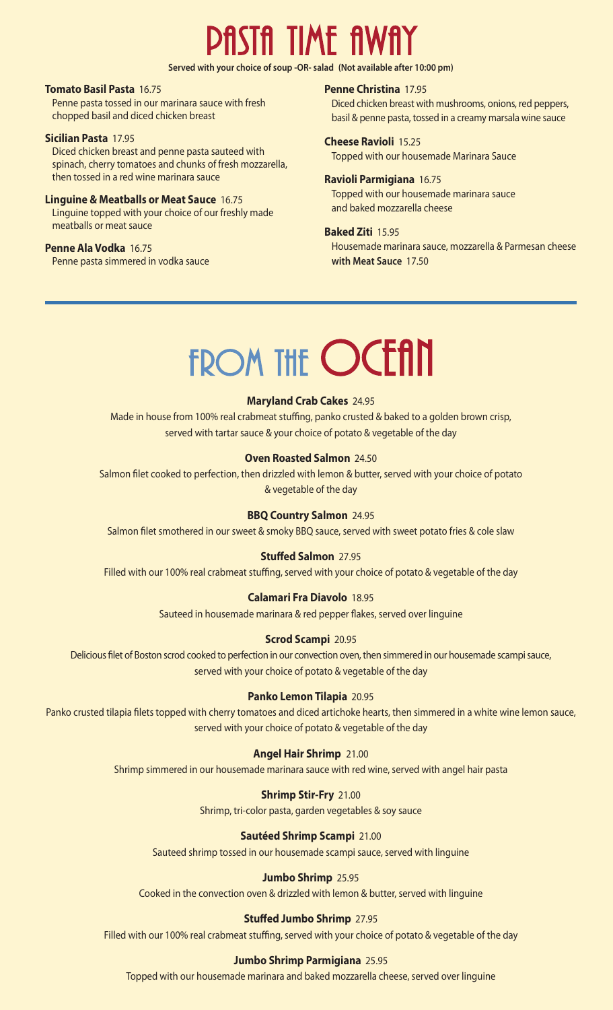# ASTA TIME AWA

**Served with your choice of soup -OR- salad (Not available after 10:00 pm)**

#### **Tomato Basil Pasta** 16.75

Penne pasta tossed in our marinara sauce with fresh chopped basil and diced chicken breast

#### **Sicilian Pasta** 17.95

Diced chicken breast and penne pasta sauteed with spinach, cherry tomatoes and chunks of fresh mozzarella, then tossed in a red wine marinara sauce

#### **Linguine & Meatballs or Meat Sauce** 16.75

Linguine topped with your choice of our freshly made meatballs or meat sauce

#### **Penne Ala Vodka** 16.75

Penne pasta simmered in vodka sauce

#### **Penne Christina** 17.95

Diced chicken breast with mushrooms, onions, red peppers, basil & penne pasta, tossed in a creamy marsala wine sauce

#### **Cheese Ravioli** 15.25

Topped with our housemade Marinara Sauce

#### **Ravioli Parmigiana** 16.75

Topped with our housemade marinara sauce and baked mozzarella cheese

#### **Baked Ziti** 15.95

Housemade marinara sauce, mozzarella & Parmesan cheese **with Meat Sauce** 17.50

# FROM THE **OCEAN**

#### **Maryland Crab Cakes** 24.95

Made in house from 100% real crabmeat stuffing, panko crusted & baked to a golden brown crisp, served with tartar sauce & your choice of potato & vegetable of the day

#### **Oven Roasted Salmon** 24.50

Salmon filet cooked to perfection, then drizzled with lemon & butter, served with your choice of potato & vegetable of the day

#### **BBQ Country Salmon** 24.95

Salmon filet smothered in our sweet & smoky BBQ sauce, served with sweet potato fries & cole slaw

#### **Stuffed Salmon** 27.95

Filled with our 100% real crabmeat stuffing, served with your choice of potato & vegetable of the day

#### **Calamari Fra Diavolo** 18.95

Sauteed in housemade marinara & red pepper flakes, served over linguine

#### **Scrod Scampi** 20.95

Delicious filet of Boston scrod cooked to perfection in our convection oven, then simmered in our housemade scampi sauce, served with your choice of potato & vegetable of the day

#### **Panko Lemon Tilapia** 20.95

Panko crusted tilapia filets topped with cherry tomatoes and diced artichoke hearts, then simmered in a white wine lemon sauce, served with your choice of potato & vegetable of the day

#### **Angel Hair Shrimp** 21.00

Shrimp simmered in our housemade marinara sauce with red wine, served with angel hair pasta

#### **Shrimp Stir-Fry** 21.00

Shrimp, tri-color pasta, garden vegetables & soy sauce

#### **Sautéed Shrimp Scampi** 21.00

Sauteed shrimp tossed in our housemade scampi sauce, served with linguine

#### **Jumbo Shrimp** 25.95

Cooked in the convection oven & drizzled with lemon & butter, served with linguine

#### **Stuffed Jumbo Shrimp** 27.95

Filled with our 100% real crabmeat stuffing, served with your choice of potato & vegetable of the day

#### **Jumbo Shrimp Parmigiana** 25.95

Topped with our housemade marinara and baked mozzarella cheese, served over linguine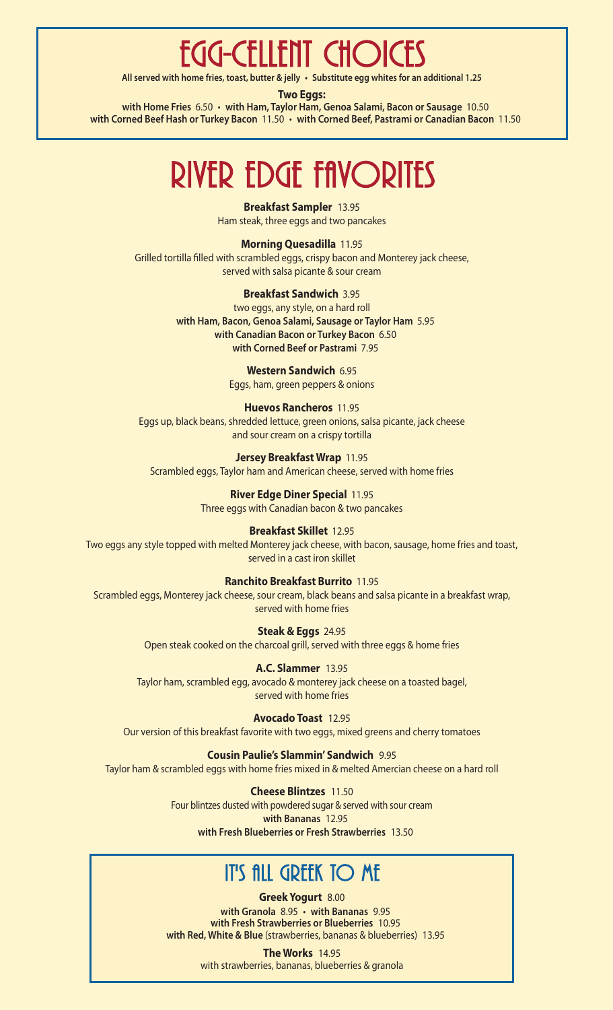## Egg-cellent Choices

**All served with home fries, toast, butter & jelly • Substitute egg whites for an additional 1.25**

**Two Eggs:**

**with Home Fries** 6.50 • **with Ham, Taylor Ham, Genoa Salami, Bacon or Sausage** 10.50 **with Corned Beef Hash or Turkey Bacon** 11.50 • **with Corned Beef, Pastrami or Canadian Bacon** 11.50

# RIVER EDGE FAVORITES

**Breakfast Sampler** 13.95 Ham steak, three eggs and two pancakes

**Morning Quesadilla** 11.95 Grilled tortilla filled with scrambled eggs, crispy bacon and Monterey jack cheese, served with salsa picante & sour cream

#### **Breakfast Sandwich** 3.95

two eggs, any style, on a hard roll **with Ham, Bacon, Genoa Salami, Sausage or Taylor Ham** 5.95 **with Canadian Bacon or Turkey Bacon** 6.50 **with Corned Beef or Pastrami** 7.95

> **Western Sandwich** 6.95 Eggs, ham, green peppers & onions

#### **Huevos Rancheros** 11.95 Eggs up, black beans, shredded lettuce, green onions, salsa picante, jack cheese

and sour cream on a crispy tortilla

#### **Jersey Breakfast Wrap** 11.95

Scrambled eggs, Taylor ham and American cheese, served with home fries

**River Edge Diner Special** 11.95 Three eggs with Canadian bacon & two pancakes

#### **Breakfast Skillet** 12.95

Two eggs any style topped with melted Monterey jack cheese, with bacon, sausage, home fries and toast, served in a cast iron skillet

#### **Ranchito Breakfast Burrito** 11.95

Scrambled eggs, Monterey jack cheese, sour cream, black beans and salsa picante in a breakfast wrap, served with home fries

> **Steak & Eggs** 24.95 Open steak cooked on the charcoal grill, served with three eggs & home fries

**A.C. Slammer** 13.95 Taylor ham, scrambled egg, avocado & monterey jack cheese on a toasted bagel, served with home fries

**Avocado Toast** 12.95 Our version of this breakfast favorite with two eggs, mixed greens and cherry tomatoes

#### **Cousin Paulie's Slammin'Sandwich** 9.95

Taylor ham & scrambled eggs with home fries mixed in & melted Amercian cheese on a hard roll

**Cheese Blintzes** 11.50 Four blintzes dusted with powdered sugar & served with sour cream **with Bananas** 12.95 **with Fresh Blueberries or Fresh Strawberries** 13.50

## **IT'S ALL GREEK TO ME**

**Greek Yogurt** 8.00 **with Granola** 8.95 • **with Bananas** 9.95 **with Fresh Strawberries or Blueberries** 10.95 **with Red, White & Blue** (strawberries, bananas & blueberries) 13.95

> **The Works** 14.95 with strawberries, bananas, blueberries & granola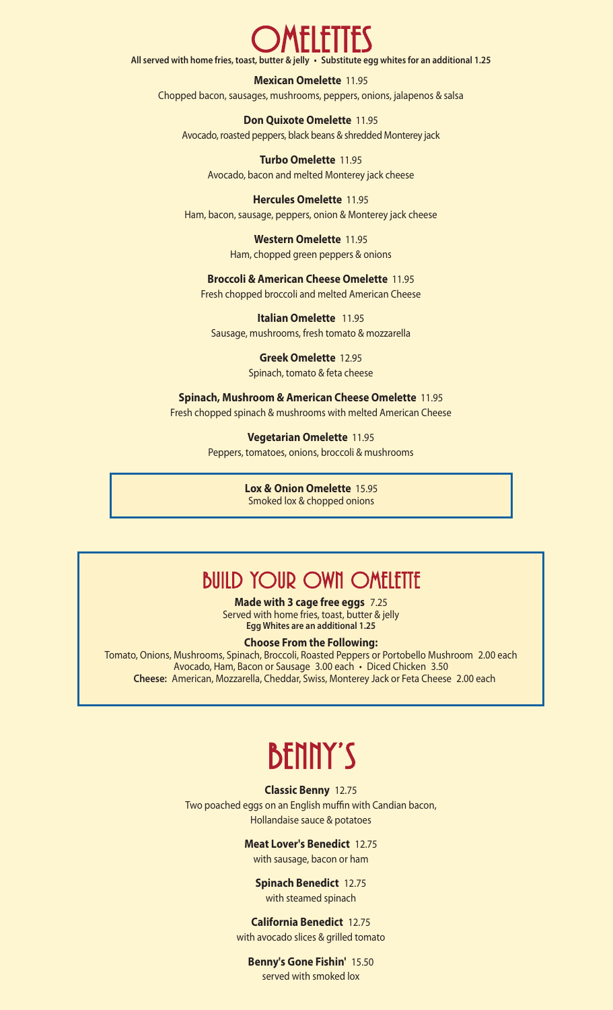# OMELETTES

**All served with home fries, toast, butter & jelly • Substitute egg whites for an additional 1.25**

**Mexican Omelette** 11.95 Chopped bacon, sausages, mushrooms, peppers, onions, jalapenos & salsa

**Don Quixote Omelette** 11.95 Avocado, roasted peppers, black beans & shredded Monterey jack

**Turbo Omelette** 11.95 Avocado, bacon and melted Monterey jack cheese

**Hercules Omelette** 11.95 Ham, bacon, sausage, peppers, onion & Monterey jack cheese

> **Western Omelette** 11.95 Ham, chopped green peppers & onions

**Broccoli & American Cheese Omelette** 11.95

Fresh chopped broccoli and melted American Cheese

**Italian Omelette** 11.95 Sausage, mushrooms, fresh tomato & mozzarella

> **Greek Omelette** 12.95 Spinach, tomato & feta cheese

**Spinach, Mushroom & American Cheese Omelette** 11.95 Fresh chopped spinach & mushrooms with melted American Cheese

> **Vegetarian Omelette** 11.95 Peppers, tomatoes, onions, broccoli & mushrooms

> > **Lox & Onion Omelette** 15.95 Smoked lox & chopped onions

### **BUILD YOUR OWN OMELETTE**

**Made with 3 cage free eggs** 7.25 Served with home fries, toast, butter & jelly **Egg Whites are an additional 1.25**

#### **Choose From the Following:**

Tomato, Onions, Mushrooms, Spinach, Broccoli, Roasted Peppers or Portobello Mushroom 2.00 each Avocado, Ham, Bacon or Sausage 3.00 each • Diced Chicken 3.50 **Cheese:** American, Mozzarella, Cheddar, Swiss, Monterey Jack or Feta Cheese 2.00 each

## Benny's

**Classic Benny** 12.75

Two poached eggs on an English muffin with Candian bacon, Hollandaise sauce & potatoes

**Meat Lover's Benedict** 12.75

with sausage, bacon or ham

**Spinach Benedict** 12.75 with steamed spinach

**California Benedict** 12.75 with avocado slices & grilled tomato

**Benny's Gone Fishin'** 15.50 served with smoked lox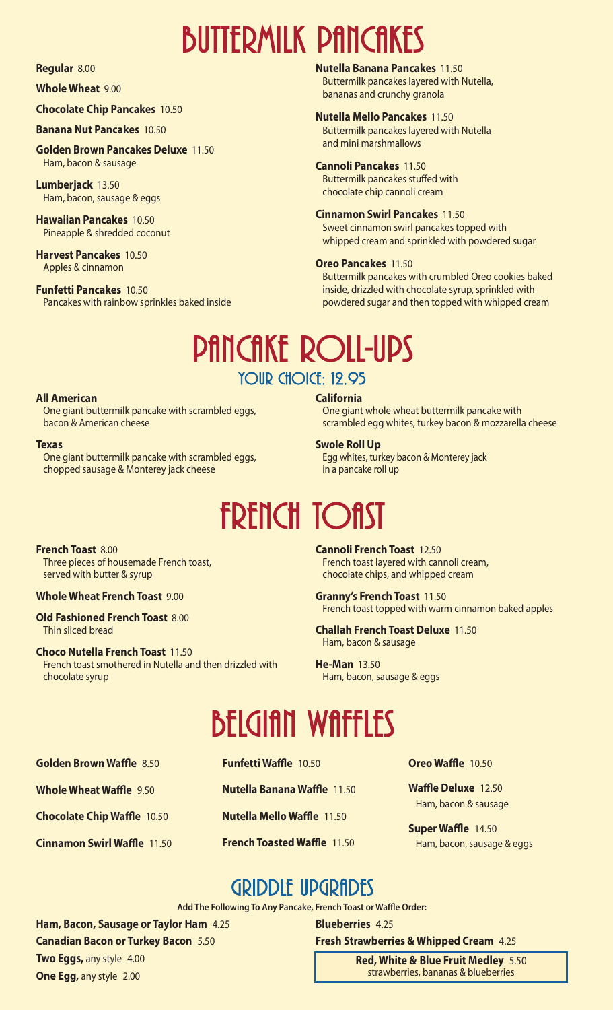# **BUTTERMILK PANCAKES**

#### **Regular** 8.00

#### **Whole Wheat** 9.00

**Chocolate Chip Pancakes** 10.50

#### **Banana Nut Pancakes** 10.50

**Golden Brown Pancakes Deluxe** 11.50 Ham, bacon & sausage

**Lumberjack** 13.50 Ham, bacon, sausage & eggs

**Hawaiian Pancakes** 10.50 Pineapple & shredded coconut

**Harvest Pancakes** 10.50 Apples & cinnamon

**Funfetti Pancakes** 10.50 Pancakes with rainbow sprinkles baked inside **Nutella Banana Pancakes** 11.50

Buttermilk pancakes layered with Nutella, bananas and crunchy granola

#### **Nutella Mello Pancakes** 11.50

Buttermilk pancakes layered with Nutella and mini marshmallows

#### **Cannoli Pancakes** 11.50

Buttermilk pancakes stuffed with chocolate chip cannoli cream

#### **Cinnamon Swirl Pancakes** 11.50

Sweet cinnamon swirl pancakes topped with whipped cream and sprinkled with powdered sugar

#### **Oreo Pancakes** 11.50

Buttermilk pancakes with crumbled Oreo cookies baked inside, drizzled with chocolate syrup, sprinkled with powdered sugar and then topped with whipped cream

## PANCAKE ROLL-UPS YOUR CHOICE: 12.95

#### **All American**

One giant buttermilk pancake with scrambled eggs, bacon & American cheese

#### **Texas**

One giant buttermilk pancake with scrambled eggs, chopped sausage & Monterey jack cheese

One giant whole wheat buttermilk pancake with scrambled egg whites, turkey bacon & mozzarella cheese

#### **Swole Roll Up**

**California**

Egg whites, turkey bacon & Monterey jack in a pancake roll up

# **FRENCH TOAST**

**French Toast** 8.00 Three pieces of housemade French toast,

served with butter & syrup

**Whole Wheat French Toast** 9.00

**Old Fashioned French Toast** 8.00 Thin sliced bread

**Choco Nutella French Toast** 11.50 French toast smothered in Nutella and then drizzled with chocolate syrup

**Cannoli French Toast** 12.50 French toast layered with cannoli cream, chocolate chips, and whipped cream

**Granny's French Toast** 11.50 French toast topped with warm cinnamon baked apples

**Challah French Toast Deluxe** 11.50 Ham, bacon & sausage

**He-Man** 13.50 Ham, bacon, sausage & eggs

# **BELGIAN WAFFLES**

**Golden Brown Waffle** 8.50 **Whole Wheat Waffle** 9.50

**Chocolate Chip Waffle** 10.50

**Cinnamon Swirl Waffle** 11.50

**Funfetti Waffle** 10.50

**Nutella Banana Waffle** 11.50

**Nutella Mello Waffle** 11.50

**French Toasted Waffle** 11.50

**Oreo Waffle** 10.50

**Waffle Deluxe** 12.50 Ham, bacon & sausage

**Super Waffle** 14.50 Ham, bacon, sausage & eggs

## GRIDDLE UPGRADES

**Add The Following To Any Pancake, French Toast or Waffle Order:**

**Blueberries** 4.25

**Ham, Bacon, Sausage or Taylor Ham** 4.25 **Canadian Bacon or Turkey Bacon** 5.50 **Two Eggs,** any style 4.00 **One Egg,** any style 2.00

**Fresh Strawberries & Whipped Cream** 4.25 **Red, White & Blue Fruit Medley** 5.50

strawberries, bananas & blueberries